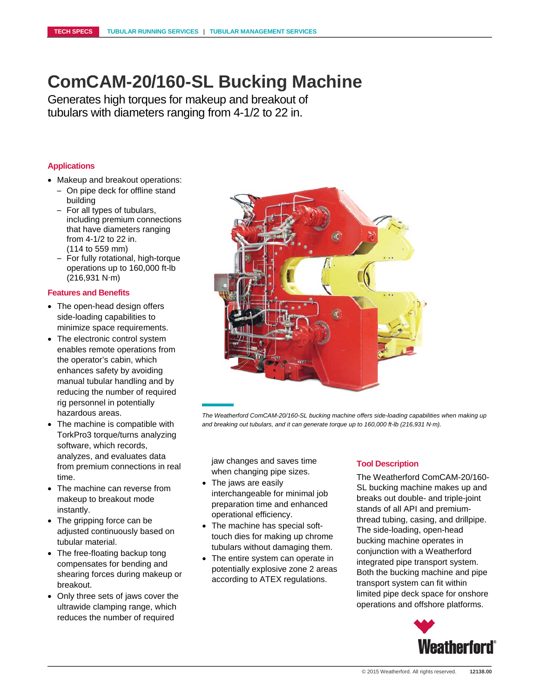## **ComCAM-20/160-SL Bucking Machine**

Generates high torques for makeup and breakout of tubulars with diameters ranging from 4-1/2 to 22 in.

## **Applications**

- Makeup and breakout operations:
	- On pipe deck for offline stand building
	- For all types of tubulars, including premium connections that have diameters ranging from 4-1/2 to 22 in. (114 to 559 mm)
	- For fully rotational, high-torque operations up to 160,000 ft-lb (216,931 N∙m)

#### **Features and Benefits**

- The open-head design offers side-loading capabilities to minimize space requirements.
- The electronic control system enables remote operations from the operator's cabin, which enhances safety by avoiding manual tubular handling and by reducing the number of required rig personnel in potentially hazardous areas.
- The machine is compatible with TorkPro3 torque/turns analyzing software, which records, analyzes, and evaluates data from premium connections in real time.
- The machine can reverse from makeup to breakout mode instantly.
- The gripping force can be adjusted continuously based on tubular material.
- The free-floating backup tong compensates for bending and shearing forces during makeup or breakout.
- Only three sets of jaws cover the ultrawide clamping range, which reduces the number of required



*The Weatherford ComCAM-20/160-SL bucking machine offers side-loading capabilities when making up and breaking out tubulars, and it can generate torque up to 160,000 ft-lb (216,931 N∙m).*

jaw changes and saves time when changing pipe sizes.

- The jaws are easily interchangeable for minimal job preparation time and enhanced operational efficiency.
- The machine has special softtouch dies for making up chrome tubulars without damaging them.
- The entire system can operate in potentially explosive zone 2 areas according to ATEX regulations.

### **Tool Description**

The Weatherford ComCAM-20/160- SL bucking machine makes up and breaks out double- and triple-joint stands of all API and premiumthread tubing, casing, and drillpipe. The side-loading, open-head bucking machine operates in conjunction with a Weatherford integrated pipe transport system. Both the bucking machine and pipe transport system can fit within limited pipe deck space for onshore operations and offshore platforms.